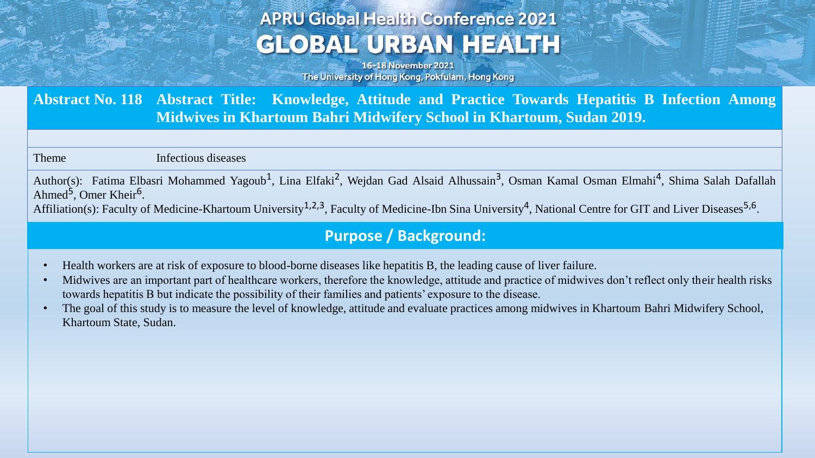# **APRU Global Health Conference 2021 GLOBAL URBAN HEALTH**

16-18 November 2021 The University of Hong Kong, Pokfulam, Hong Kong

**Abstract No. 118 Abstract Title: Knowledge, Attitude and Practice Towards Hepatitis B Infection Among Midwives in Khartoum Bahri Midwifery School in Khartoum, Sudan 2019.**

Theme Infectious diseases

Author(s): Fatima Elbasri Mohammed Yagoub<sup>1</sup>, Lina Elfaki<sup>2</sup>, Wejdan Gad Alsaid Alhussain<sup>3</sup>, Osman Kamal Osman Elmahi<sup>4</sup>, Shima Salah Dafallah Ahmed<sup>5</sup>, Omer Kheir<sup>6</sup>.

Affiliation(s): Faculty of Medicine-Khartoum University<sup>1,2,3</sup>, Faculty of Medicine-Ibn Sina University<sup>4</sup>, National Centre for GIT and Liver Diseases<sup>5,6</sup>.

### **Purpose / Background:**

- Health workers are at risk of exposure to blood-borne diseases like hepatitis B, the leading cause of liver failure.
- Midwives are an important part of healthcare workers, therefore the knowledge, attitude and practice of midwives don't reflect only their health risks towards hepatitis B but indicate the possibility of their families and patients' exposure to the disease.
- The goal of this study is to measure the level of knowledge, attitude and evaluate practices among midwives in Khartoum Bahri Midwifery School, Khartoum State, Sudan.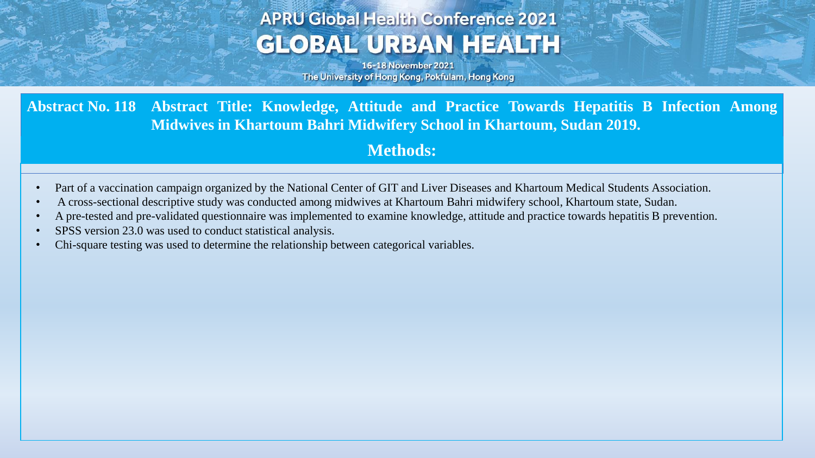## **APRU Global Health Conference 2021 GLOBAL URBAN HEALTH**

16-18 November 2021 The University of Hong Kong, Pokfulam, Hong Kong

**Abstract No. 118 Abstract Title: Knowledge, Attitude and Practice Towards Hepatitis B Infection Among Midwives in Khartoum Bahri Midwifery School in Khartoum, Sudan 2019.**

### **Methods:**

- Part of a vaccination campaign organized by the National Center of GIT and Liver Diseases and Khartoum Medical Students Association.
- A cross-sectional descriptive study was conducted among midwives at Khartoum Bahri midwifery school, Khartoum state, Sudan.
- A pre-tested and pre-validated questionnaire was implemented to examine knowledge, attitude and practice towards hepatitis B prevention.
- SPSS version 23.0 was used to conduct statistical analysis.
- Chi-square testing was used to determine the relationship between categorical variables.